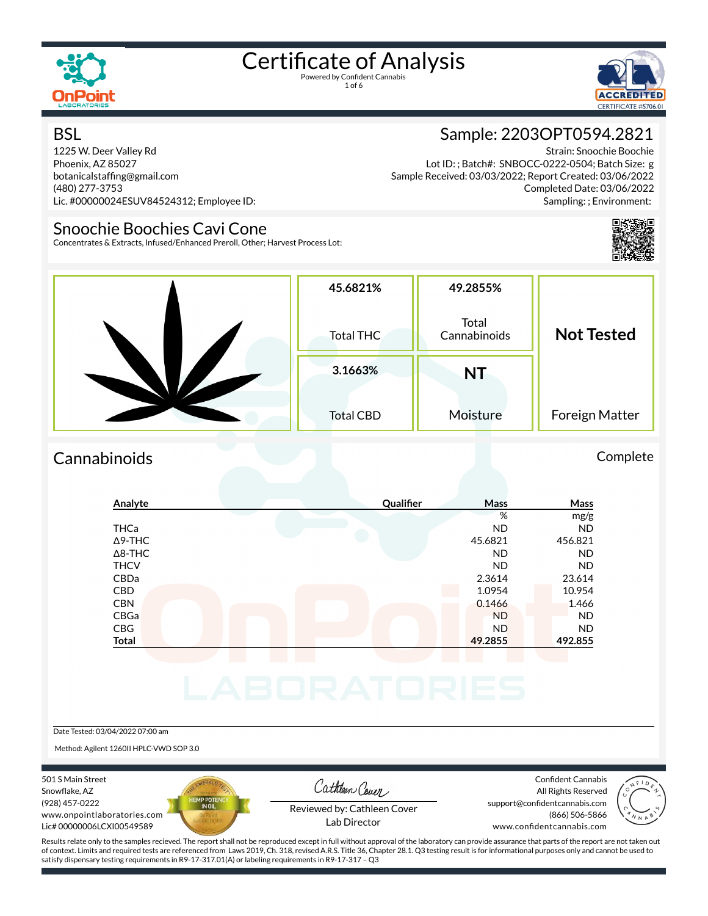

1 of 6



#### **BSL**

1225 W. Deer Valley Rd Phoenix, AZ 85027 botanicalstafng@gmail.com (480) 277-3753 Lic. #00000024ESUV84524312; Employee ID:

#### Snoochie Boochies Cavi Cone

Concentrates & Extracts, Infused/Enhanced Preroll, Other; Harvest Process Lot:

#### Sample: 2203OPT0594.2821

Strain: Snoochie Boochie Lot ID: ; Batch#: SNBOCC-0222-0504; Batch Size: g Sample Received: 03/03/2022; Report Created: 03/06/2022 Completed Date: 03/06/2022 Sampling: ; Environment:



| 45.6821%<br>Total THC | 49.2855%<br>Total<br>Cannabinoids | <b>Not Tested</b> |  |
|-----------------------|-----------------------------------|-------------------|--|
| 3.1663%               | NT                                |                   |  |
| <b>Total CBD</b>      | Moisture                          | Foreign Matter    |  |

#### Cannabinoids Complete

### **Analyte Qualier Mass Mass** % mg/g THCa ND ND Δ9-THC 45.6821 456.821 Δ8-THC ND ND THCV ND ND CBDa 2.3614 23.614 CBD 10.954 10.954 CBN 0.1466 1.466 CBGa ND ND CBG ND ND **Total 49.2855 492.855** Date Tested: 03/04/2022 07:00 am

Method: Agilent 1260II HPLC-VWD SOP 3.0

501 S Main Street Snowflake, AZ (928) 457-0222 www.onpointlaboratories.com Lic# 00000006LCXI00549589



Cathleen Cover

Confident Cannabis All Rights Reserved support@confidentcannabis.com (866) 506-5866



Reviewed by: Cathleen Cover

www.confidentcannabis.com

Results relate only to the samples recieved. The report shall not be reproduced except in full without approval of the laboratory can provide assurance that parts of the report are not taken out of context. Limits and required tests are referenced from Laws 2019, Ch. 318, revised A.R.S. Title 36, Chapter 28.1. Q3 testing result is for informational purposes only and cannot be used to satisfy dispensary testing requirements in R9-17-317.01(A) or labeling requirements in R9-17-317 – Q3

Lab Director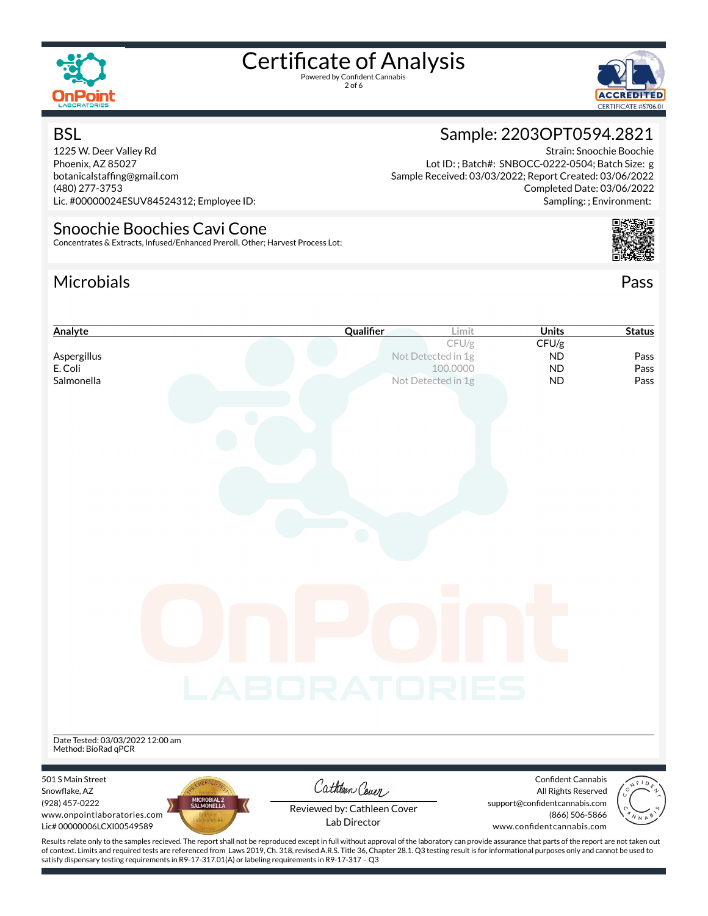

2 of 6



Strain: Snoochie Boochie

Completed Date: 03/06/2022 Sampling: ; Environment:

Sample: 2203OPT0594.2821

Lot ID: ; Batch#: SNBOCC-0222-0504; Batch Size: g Sample Received: 03/03/2022; Report Created: 03/06/2022

#### **BSL**

1225 W. Deer Valley Rd Phoenix, AZ 85027 botanicalstafng@gmail.com (480) 277-3753 Lic. #00000024ESUV84524312; Employee ID:

#### Snoochie Boochies Cavi Cone

Concentrates & Extracts, Infused/Enhanced Preroll, Other; Harvest Process Lot:

### Microbials Pass



| Analyte                                                                                                 | Qualifier                                                                                                                                                                                          | <b>Units</b><br>Limit                                                        | <b>Status</b> |
|---------------------------------------------------------------------------------------------------------|----------------------------------------------------------------------------------------------------------------------------------------------------------------------------------------------------|------------------------------------------------------------------------------|---------------|
|                                                                                                         |                                                                                                                                                                                                    | CFU/g<br>CFU/g                                                               |               |
| Aspergillus                                                                                             | Not Detected in 1g                                                                                                                                                                                 | <b>ND</b>                                                                    | Pass          |
| E. Coli                                                                                                 |                                                                                                                                                                                                    | 100.0000<br><b>ND</b>                                                        | Pass          |
| Salmonella                                                                                              | Not Detected in 1g                                                                                                                                                                                 | <b>ND</b>                                                                    | Pass          |
|                                                                                                         | LABORATORIES                                                                                                                                                                                       | $\mathbb{R}^n$                                                               |               |
| Date Tested: 03/03/2022 12:00 am<br>Method: BioRad qPCR                                                 |                                                                                                                                                                                                    |                                                                              |               |
| 501 S Main Street<br>Snowflake, AZ                                                                      | Cathleen Cover                                                                                                                                                                                     | Confident Cannabis<br>All Rights Reserved                                    |               |
| MICROBIAL 2<br>SALMONELLA<br>(928) 457-0222<br>www.onpointlaboratories.com<br>Lic# 00000006LCXI00549589 | Reviewed by: Cathleen Cover<br>Lab Director                                                                                                                                                        | support@confidentcannabis.com<br>(866) 506-5866<br>www.confidentcannabis.com |               |
|                                                                                                         | Results relate only to the samples recieved. The report shall not be reproduced except in full without approval of the laboratory can provide assurance that parts of the report are not taken out |                                                                              |               |

of context. Limits and required tests are referenced from Laws 2019, Ch. 318, revised A.R.S. Title 36, Chapter 28.1. Q3 testing result is for informational purposes only and cannot be used to satisfy dispensary testing requirements in R9-17-317.01(A) or labeling requirements in R9-17-317 – Q3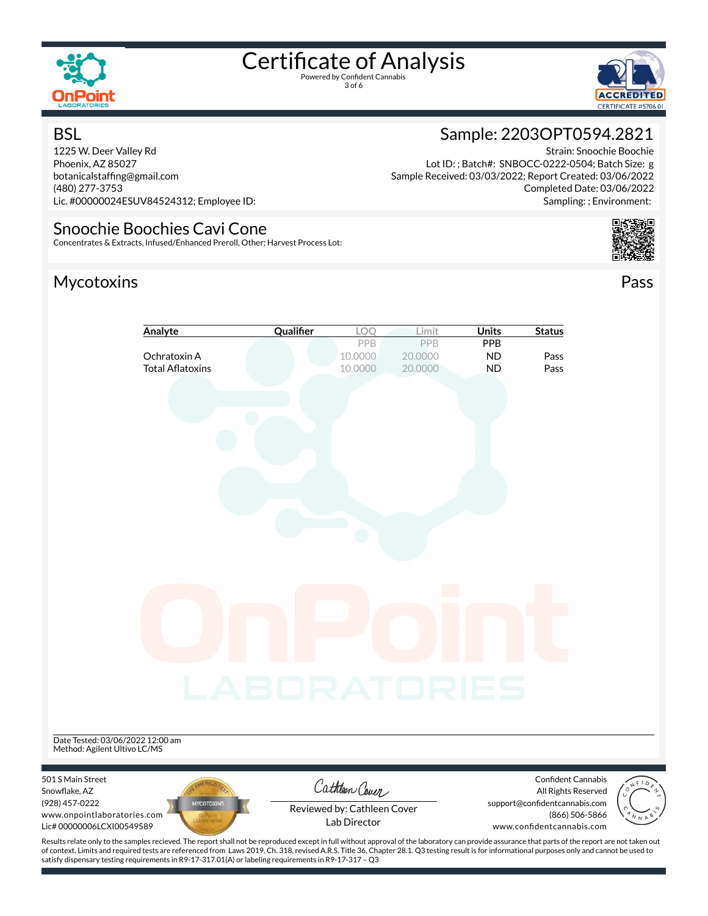

3 of 6



Strain: Snoochie Boochie

Completed Date: 03/06/2022 Sampling: ; Environment:

Sample: 2203OPT0594.2821

Lot ID: ; Batch#: SNBOCC-0222-0504; Batch Size: g Sample Received: 03/03/2022; Report Created: 03/06/2022

#### **BSL**

1225 W. Deer Valley Rd Phoenix, AZ 85027 botanicalstafng@gmail.com (480) 277-3753 Lic. #00000024ESUV84524312; Employee ID:

#### Snoochie Boochies Cavi Cone

Concentrates & Extracts, Infused/Enhanced Preroll, Other; Harvest Process Lot:

### Mycotoxins Pass







Snowflake, AZ (928) 457-0222 www.onpointlaboratories.com Lic# 00000006LCXI00549589



Reviewed by: Cathleen Cover

support@confidentcannabis.com (866) 506-5866



Lab Director

www.confidentcannabis.com

Results relate only to the samples recieved. The report shall not be reproduced except in full without approval of the laboratory can provide assurance that parts of the report are not taken out of context. Limits and required tests are referenced from Laws 2019, Ch. 318, revised A.R.S. Title 36, Chapter 28.1. Q3 testing result is for informational purposes only and cannot be used to satisfy dispensary testing requirements in R9-17-317.01(A) or labeling requirements in R9-17-317 – Q3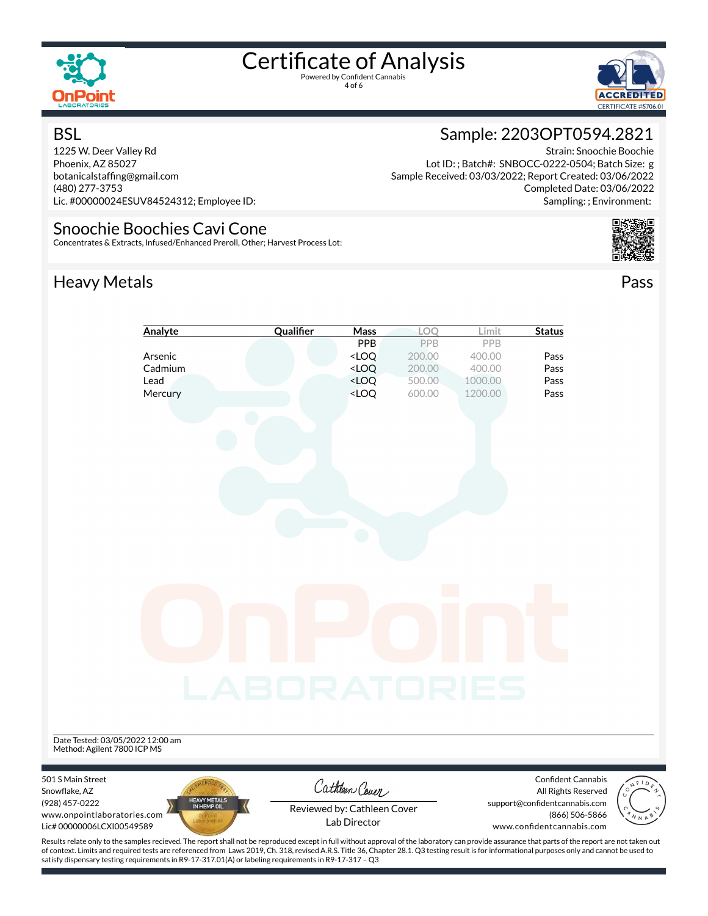

4 of 6



#### **BSL**

1225 W. Deer Valley Rd Phoenix, AZ 85027 botanicalstafng@gmail.com (480) 277-3753 Lic. #00000024ESUV84524312; Employee ID:

#### Snoochie Boochies Cavi Cone

Concentrates & Extracts, Infused/Enhanced Preroll, Other; Harvest Process Lot:

## Heavy Metals **Pass**

### Sample: 2203OPT0594.2821

Strain: Snoochie Boochie Lot ID: ; Batch#: SNBOCC-0222-0504; Batch Size: g Sample Received: 03/03/2022; Report Created: 03/06/2022 Completed Date: 03/06/2022 Sampling: ; Environment:





Results relate only to the samples recieved. The report shall not be reproduced except in full without approval of the laboratory can provide assurance that parts of the report are not taken out of context. Limits and required tests are referenced from Laws 2019, Ch. 318, revised A.R.S. Title 36, Chapter 28.1. Q3 testing result is for informational purposes only and cannot be used to satisfy dispensary testing requirements in R9-17-317.01(A) or labeling requirements in R9-17-317 – Q3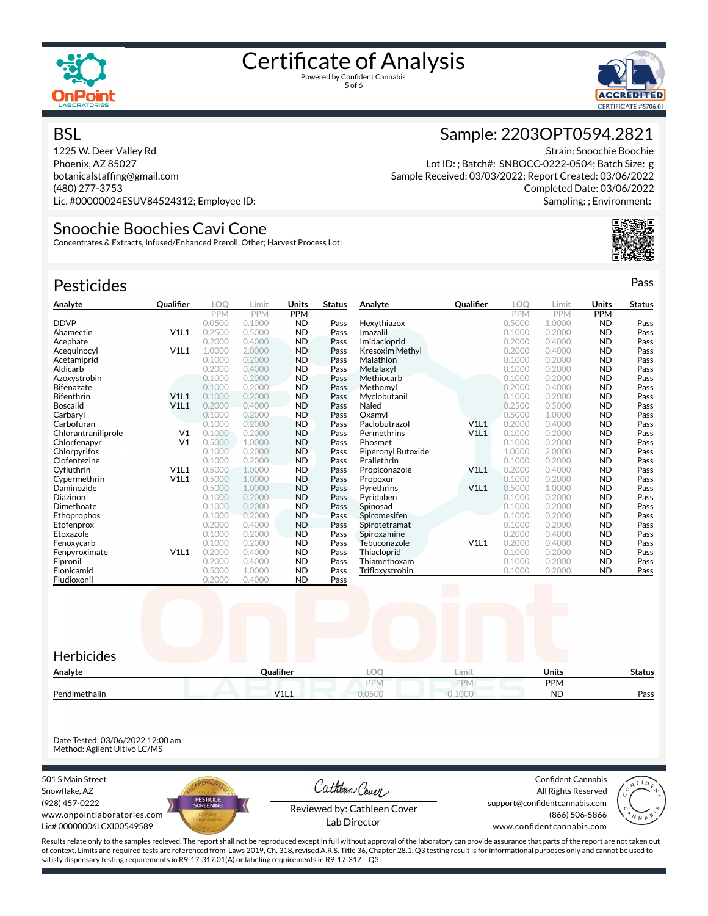



Strain: Snoochie Boochie

Completed Date: 03/06/2022 Sampling: ; Environment:

Sample: 2203OPT0594.2821

Lot ID: ; Batch#: SNBOCC-0222-0504; Batch Size: g Sample Received: 03/03/2022; Report Created: 03/06/2022

#### **BSL**

1225 W. Deer Valley Rd Phoenix, AZ 85027 botanicalstafng@gmail.com (480) 277-3753 Lic. #00000024ESUV84524312; Employee ID:

#### Snoochie Boochies Cavi Cone

Concentrates & Extracts, Infused/Enhanced Preroll, Other; Harvest Process Lot:

| <b>Pesticides</b>   |                  |            |            |            |               |                        |                  |            |            |            | Pass          |
|---------------------|------------------|------------|------------|------------|---------------|------------------------|------------------|------------|------------|------------|---------------|
| Analyte             | <b>Qualifier</b> | <b>LOO</b> | Limit      | Units      | <b>Status</b> | Analyte                | <b>Qualifier</b> | <b>LOO</b> | Limit      | Units      | <b>Status</b> |
|                     |                  | <b>PPM</b> | <b>PPM</b> | <b>PPM</b> |               |                        |                  | <b>PPM</b> | <b>PPM</b> | <b>PPM</b> |               |
| <b>DDVP</b>         |                  | 0.0500     | 0.1000     | <b>ND</b>  | Pass          | Hexythiazox            |                  | 0.5000     | 1.0000     | <b>ND</b>  | Pass          |
| Abamectin           | V1L1             | 0.2500     | 0.5000     | <b>ND</b>  | Pass          | Imazalil               |                  | 0.1000     | 0.2000     | <b>ND</b>  | Pass          |
| Acephate            |                  | 0.2000     | 0.4000     | <b>ND</b>  | Pass          | Imidacloprid           |                  | 0.2000     | 0.4000     | <b>ND</b>  | Pass          |
| Acequinocyl         | V1L1             | 1.0000     | 2.0000     | <b>ND</b>  | Pass          | <b>Kresoxim Methyl</b> |                  | 0.2000     | 0.4000     | <b>ND</b>  | Pass          |
| Acetamiprid         |                  | 0.1000     | 0.2000     | <b>ND</b>  | Pass          | Malathion              |                  | 0.1000     | 0.2000     | <b>ND</b>  | Pass          |
| Aldicarb            |                  | 0.2000     | 0.4000     | <b>ND</b>  | Pass          | Metalaxyl              |                  | 0.1000     | 0.2000     | <b>ND</b>  | Pass          |
| Azoxystrobin        |                  | 0.1000     | 0.2000     | <b>ND</b>  | Pass          | Methiocarb             |                  | 0.1000     | 0.2000     | <b>ND</b>  | Pass          |
| <b>Bifenazate</b>   |                  | 0.1000     | 0.2000     | <b>ND</b>  | Pass          | Methomvl               |                  | 0.2000     | 0.4000     | <b>ND</b>  | Pass          |
| <b>Bifenthrin</b>   | V1L1             | 0.1000     | 0.2000     | <b>ND</b>  | Pass          | Myclobutanil           |                  | 0.1000     | 0.2000     | <b>ND</b>  | Pass          |
| <b>Boscalid</b>     | V1L1             | 0.2000     | 0.4000     | <b>ND</b>  | Pass          | Naled                  |                  | 0.2500     | 0.5000     | <b>ND</b>  | Pass          |
| Carbaryl            |                  | 0.1000     | 0.2000     | <b>ND</b>  | Pass          | Oxamvl                 |                  | 0.5000     | 1.0000     | <b>ND</b>  | Pass          |
| Carbofuran          |                  | 0.1000     | 0.2000     | <b>ND</b>  | Pass          | Paclobutrazol          | V1L1             | 0.2000     | 0.4000     | <b>ND</b>  | Pass          |
| Chlorantraniliprole | V <sub>1</sub>   | 0.1000     | 0.2000     | <b>ND</b>  | Pass          | Permethrins            | V1L1             | 0.1000     | 0.2000     | <b>ND</b>  | Pass          |
| Chlorfenapyr        | V <sub>1</sub>   | 0.5000     | 1.0000     | <b>ND</b>  | Pass          | Phosmet                |                  | 0.1000     | 0.2000     | <b>ND</b>  | Pass          |
| Chlorpyrifos        |                  | 0.1000     | 0.2000     | <b>ND</b>  | Pass          | Piperonyl Butoxide     |                  | 1.0000     | 2.0000     | <b>ND</b>  | Pass          |
| Clofentezine        |                  | 0.1000     | 0.2000     | <b>ND</b>  | Pass          | Prallethrin            |                  | 0.1000     | 0.2000     | <b>ND</b>  | Pass          |
| Cyfluthrin          | V1L1             | 0.5000     | 1.0000     | <b>ND</b>  | Pass          | Propiconazole          | V1L1             | 0.2000     | 0.4000     | <b>ND</b>  | Pass          |
| Cvpermethrin        | V1L1             | 0.5000     | 1.0000     | <b>ND</b>  | Pass          | Propoxur               |                  | 0.1000     | 0.2000     | <b>ND</b>  | Pass          |
| Daminozide          |                  | 0.5000     | 1.0000     | <b>ND</b>  | Pass          | Pyrethrins             | V1L1             | 0.5000     | 1.0000     | <b>ND</b>  | Pass          |
| Diazinon            |                  | 0.1000     | 0.2000     | <b>ND</b>  | Pass          | Pyridaben              |                  | 0.1000     | 0.2000     | <b>ND</b>  | Pass          |
| Dimethoate          |                  | 0.1000     | 0.2000     | <b>ND</b>  | Pass          | Spinosad               |                  | 0.1000     | 0.2000     | <b>ND</b>  | Pass          |
| Ethoprophos         |                  | 0.1000     | 0.2000     | <b>ND</b>  | Pass          | Spiromesifen           |                  | 0.1000     | 0.2000     | <b>ND</b>  | Pass          |
| Etofenprox          |                  | 0.2000     | 0.4000     | <b>ND</b>  | Pass          | Spirotetramat          |                  | 0.1000     | 0.2000     | <b>ND</b>  | Pass          |
| Etoxazole           |                  | 0.1000     | 0.2000     | <b>ND</b>  | Pass          | Spiroxamine            |                  | 0.2000     | 0.4000     | <b>ND</b>  | Pass          |
| Fenoxycarb          |                  | 0.1000     | 0.2000     | <b>ND</b>  | Pass          | Tebuconazole           | V1L1             | 0.2000     | 0.4000     | <b>ND</b>  | Pass          |
| Fenpyroximate       | V1L1             | 0.2000     | 0.4000     | <b>ND</b>  | Pass          | Thiacloprid            |                  | 0.1000     | 0.2000     | <b>ND</b>  | Pass          |
| Fipronil            |                  | 0.2000     | 0.4000     | <b>ND</b>  | Pass          | Thiamethoxam           |                  | 0.1000     | 0.2000     | <b>ND</b>  | Pass          |
| Flonicamid          |                  | 0.5000     | 1.0000     | <b>ND</b>  | Pass          | Trifloxystrobin        |                  | 0.1000     | 0.2000     | <b>ND</b>  | Pass          |
| Fludioxonil         |                  | 0.2000     | 0.4000     | <b>ND</b>  | Pass          |                        |                  |            |            |            |               |
|                     |                  |            |            |            |               |                        |                  |            |            |            |               |



Date Tested: 03/06/2022 12:00 am Method: Agilent Ultivo LC/MS

501 S Main Street Snowflake, AZ (928) 457-0222 www.onpointlaboratories.com Lic# 00000006LCXI00549589



Cathleen Cover

Confident Cannabis All Rights Reserved support@confidentcannabis.com (866) 506-5866



Reviewed by: Cathleen Cover

www.confidentcannabis.com

Results relate only to the samples recieved. The report shall not be reproduced except in full without approval of the laboratory can provide assurance that parts of the report are not taken out of context. Limits and required tests are referenced from Laws 2019, Ch. 318, revised A.R.S. Title 36, Chapter 28.1. Q3 testing result is for informational purposes only and cannot be used to satisfy dispensary testing requirements in R9-17-317.01(A) or labeling requirements in R9-17-317 – Q3

Lab Director